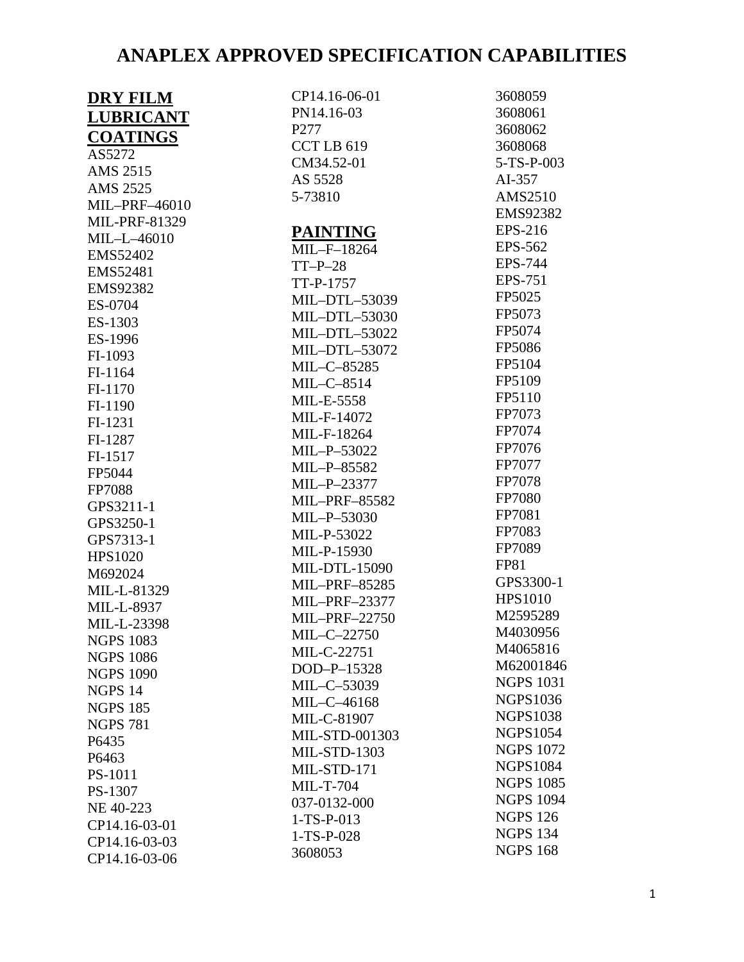| <b>DRY FILM</b>    | CP14.16-06-01                                | 3608059                             |
|--------------------|----------------------------------------------|-------------------------------------|
| <b>LUBRICANT</b>   | PN14.16-03                                   | 3608061                             |
| <b>COATINGS</b>    | P <sub>277</sub>                             | 3608062                             |
| AS5272             | CCTLB <sub>619</sub>                         | 3608068                             |
| AMS 2515           | CM34.52-01                                   | 5-TS-P-003                          |
| AMS 2525           | AS 5528                                      | AI-357                              |
| MIL-PRF-46010      | 5-73810                                      | AMS2510                             |
| MIL-PRF-81329      |                                              | <b>EMS92382</b>                     |
|                    | <b>PAINTING</b>                              | EPS-216                             |
| MIL-L-46010        | MIL-F-18264                                  | EPS-562                             |
| <b>EMS52402</b>    | $TT-P-28$                                    | EPS-744                             |
| EMS52481           | TT-P-1757                                    | EPS-751                             |
| <b>EMS92382</b>    | MIL-DTL-53039                                | FP5025                              |
| ES-0704            | MIL-DTL-53030                                | FP5073                              |
| ES-1303            | MIL-DTL-53022                                | FP5074                              |
| ES-1996            | MIL-DTL-53072                                | FP5086                              |
| FI-1093            | MIL-C-85285                                  | FP5104                              |
| FI-1164            | $MIL-C-8514$                                 | FP5109                              |
| FI-1170            | MIL-E-5558                                   | FP5110                              |
| FI-1190            | MIL-F-14072                                  | FP7073                              |
| FI-1231            | MIL-F-18264                                  | FP7074                              |
| FI-1287            | MIL-P-53022                                  | FP7076                              |
| FI-1517            | MIL-P-85582                                  | FP7077                              |
| FP5044             | MIL-P-23377                                  | FP7078                              |
| FP7088             | MIL-PRF-85582                                | FP7080                              |
| GPS3211-1          | MIL-P-53030                                  | FP7081                              |
| GPS3250-1          | MIL-P-53022                                  | FP7083                              |
| GPS7313-1          |                                              | FP7089                              |
| HPS1020            | MIL-P-15930                                  | <b>FP81</b>                         |
| M692024            | <b>MIL-DTL-15090</b><br><b>MIL-PRF-85285</b> | GPS3300-1                           |
| MIL-L-81329        |                                              | <b>HPS1010</b>                      |
| MIL-L-8937         | MIL-PRF-23377                                | M2595289                            |
| MIL-L-23398        | MIL-PRF-22750                                | M4030956                            |
| <b>NGPS 1083</b>   | MIL-C-22750                                  | M4065816                            |
| <b>NGPS 1086</b>   | MIL-C-22751                                  | M62001846                           |
| <b>NGPS 1090</b>   | DOD-P-15328                                  | <b>NGPS 1031</b>                    |
| NGPS <sub>14</sub> | MIL-C-53039                                  | <b>NGPS1036</b>                     |
| <b>NGPS 185</b>    | MIL-C-46168                                  | <b>NGPS1038</b>                     |
| <b>NGPS 781</b>    | MIL-C-81907                                  | <b>NGPS1054</b>                     |
| P6435              | MIL-STD-001303                               |                                     |
| P6463              | <b>MIL-STD-1303</b>                          | <b>NGPS 1072</b><br><b>NGPS1084</b> |
| PS-1011            | MIL-STD-171                                  |                                     |
| PS-1307            | <b>MIL-T-704</b>                             | <b>NGPS 1085</b>                    |
| NE 40-223          | 037-0132-000                                 | <b>NGPS 1094</b>                    |
| CP14.16-03-01      | $1-TS-P-013$                                 | <b>NGPS 126</b>                     |
| CP14.16-03-03      | $1-TS-P-028$                                 | <b>NGPS 134</b>                     |
| CP14.16-03-06      | 3608053                                      | <b>NGPS 168</b>                     |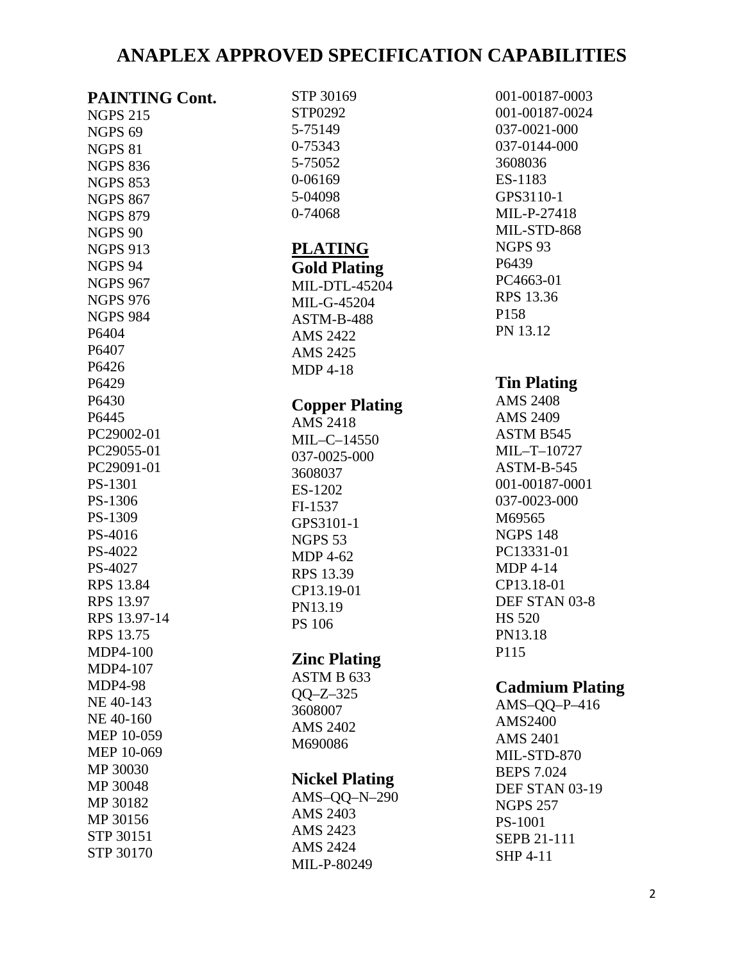| <b>PAINTING Cont.</b> |
|-----------------------|
| <b>NGPS 215</b>       |
| NGPS <sub>69</sub>    |
| <b>NGPS 81</b>        |
| <b>NGPS 836</b>       |
| <b>NGPS 853</b>       |
|                       |
| <b>NGPS 867</b>       |
| <b>NGPS 879</b>       |
| <b>NGPS 90</b>        |
| <b>NGPS 913</b>       |
| NGPS 94               |
| <b>NGPS 967</b>       |
| <b>NGPS 976</b>       |
| <b>NGPS 984</b>       |
| P6404                 |
| P6407                 |
| P6426                 |
| P6429                 |
| P6430                 |
| P6445                 |
| PC29002-01            |
|                       |
| PC29055-01            |
| PC29091-01            |
| PS-1301               |
| PS-1306               |
| PS-1309               |
| PS-4016               |
| PS-4022               |
| PS-4027               |
| <b>RPS 13.84</b>      |
| <b>RPS 13.97</b>      |
| RPS 13.97-14          |
| <b>RPS 13.75</b>      |
| <b>MDP4-100</b>       |
| MDP4-107              |
|                       |
| <b>MDP4-98</b>        |
| NE 40-143             |
| NE 40-160             |
| <b>MEP 10-059</b>     |
| MEP 10-069            |
| MP 30030              |
| MP 30048              |
| MP 30182              |
| MP 30156              |
| STP 30151             |
| STP 30170             |
|                       |

| STP 30169<br>STP0292<br>5-75149<br>0-75343<br>5-75052<br>0-06169<br>5-04098<br>0-74068                                                                                                                     |
|------------------------------------------------------------------------------------------------------------------------------------------------------------------------------------------------------------|
| <b>PLATING</b><br><b>Gold Plating</b><br>MIL-DTL-45204<br>MIL-G-45204<br>ASTM-B-488<br><b>AMS 2422</b><br><b>AMS 2425</b><br><b>MDP 4-18</b>                                                               |
| <b>Copper Plating</b><br><b>AMS 2418</b><br>MIL-C-14550<br>037-0025-000<br>3608037<br>ES-1202<br>FI-1537<br>GPS3101-1<br>NGPS 53<br><b>MDP 4-62</b><br><b>RPS 13.39</b><br>CP13.19-01<br>PN13.19<br>PS 106 |
| <b>Zinc Plating</b><br>ASTM B 633<br>$OO-Z-325$<br>3608007<br><b>AMS 2402</b><br>M690086                                                                                                                   |
| <b>Nickel Plating</b><br>$AMS-QQ-N-290$<br><b>AMS 2403</b><br><b>AMS 2423</b>                                                                                                                              |

AMS 2424 MIL-P-80249

001-00187-0003 001-00187-0024 037-0021-000 037-0144-000 3608036 ES-1183 GPS3110-1 MIL-P-27418 MIL-STD-868 NGPS 93 P6439 PC4663-01 RPS 13.36 P158 PN 13.12

#### **Tin Plating**

AMS 2408 AMS 2409 ASTM B545 MIL–T–10727 ASTM-B-545 001-00187-0001 037-0023-000 M69565 NGPS 148 PC13331-01 MDP 4-14 CP13.18-01 DEF STAN 03-8 HS 520 PN13.18 P115

### **Cadmium Plating**

AMS–QQ–P–416 AMS2400 AMS 2401 MIL-STD-870 BEPS 7.024 DEF STAN 03-19 NGPS 257 PS-1001 SEPB 21-111 SHP 4-11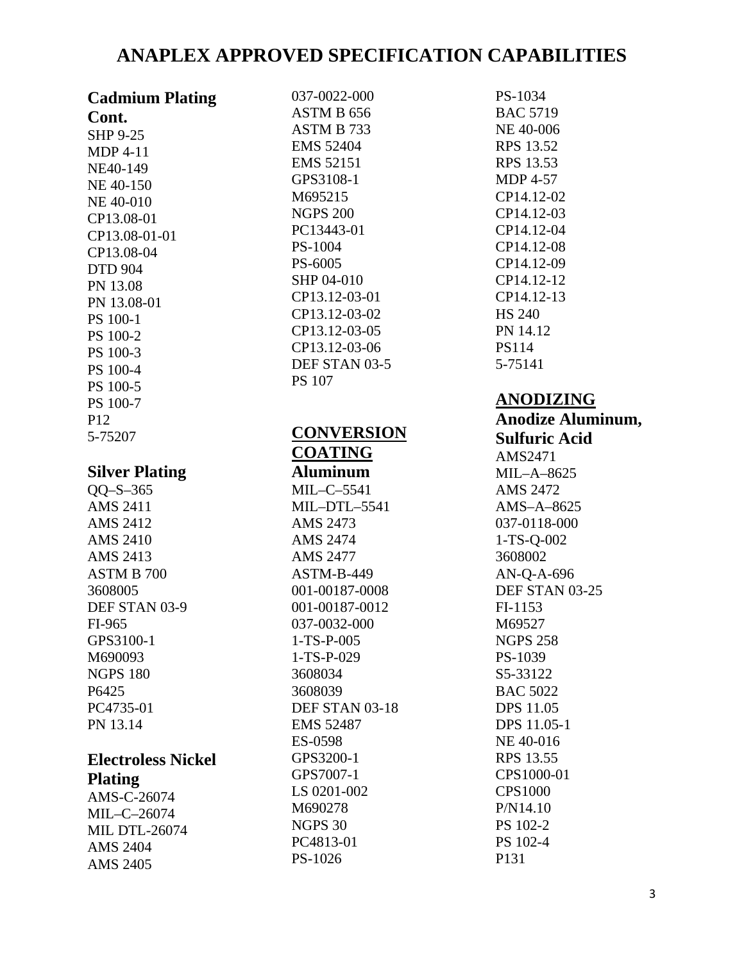| <b>Cadmium Plating</b>              |
|-------------------------------------|
| Cont.                               |
| <b>SHP 9-25</b>                     |
| <b>MDP 4-11</b>                     |
| NE40-149                            |
| NE 40-150                           |
| NE 40-010                           |
| CP13.08-01                          |
| CP13.08-01-01                       |
| CP13.08-04                          |
| <b>DTD 904</b>                      |
| PN 13.08                            |
| PN 13.08-01                         |
| PS 100-1                            |
| PS 100-2                            |
| PS 100-3                            |
| PS 100-4                            |
| PS 100-5                            |
| PS 100-7                            |
| P12                                 |
| 5-75207                             |
|                                     |
| <b>Silver Plating</b><br>$OO-S-365$ |
| <b>AMS 2411</b>                     |
| <b>AMS 2412</b>                     |
| <b>AMS 2410</b>                     |
| <b>AMS 2413</b>                     |
| ASTM B 700                          |
| 3608005                             |
| DEF STAN 03-9                       |
| FI-965                              |
| GPS3100-1                           |
| M690093                             |
| <b>NGPS 180</b>                     |
| P6425                               |
| PC4735-01                           |
| PN 13.14                            |
|                                     |
| <b>Electroless Nickel</b>           |
| Dl <sub>ofina</sub>                 |

#### **Plating**

AMS-C-26074 MIL–C–26074 MIL DTL-26074 AMS 2404 AMS 2405

037-0022-000 ASTM B 656 ASTM B 733 EMS 52404 EMS 52151 GPS3108-1 M695215 NGPS 200 PC13443-01 PS-1004 PS-6005 SHP 04-010 CP13.12-03-01 CP13.12-03-02 CP13.12-03-05 CP13.12-03-06 DEF STAN 03-5 PS 107

**CONVERSION** 

**COATING Aluminum** MIL–C–5541 MIL–DTL–5541 AMS 2473 AMS 2474 AMS 2477 ASTM-B-449 001-00187-0008 001-00187-0012 037-0032-000 1-TS-P-005 1-TS-P-029 3608034 3608039 DEF STAN 03-18 EMS 52487 ES-0598 GPS3200-1 GPS7007-1 LS 0201-002 M690278 NGPS 30 PC4813-01 PS-1026

PS-1034 BAC 5719 NE 40-006 RPS 13.52 RPS 13.53 MDP 4-57 CP14.12-02 CP14.12-03 CP14.12-04 CP14.12-08 CP14.12-09 CP14.12-12 CP14.12-13 HS 240 PN 14.12 PS114 5-75141

### **ANODIZING**

**Anodize Aluminum, Sulfuric Acid** AMS2471 MIL–A–8625 AMS 2472 AMS–A–8625 037-0118-000 1-TS-Q-002 3608002 AN-Q-A-696 DEF STAN 03-25 FI-1153 M69527 NGPS 258 PS-1039 S5-33122 BAC 5022 DPS 11.05 DPS 11.05-1 NE 40-016 RPS 13.55 CPS1000-01 CPS1000 P/N14.10 PS 102-2 PS 102-4 P131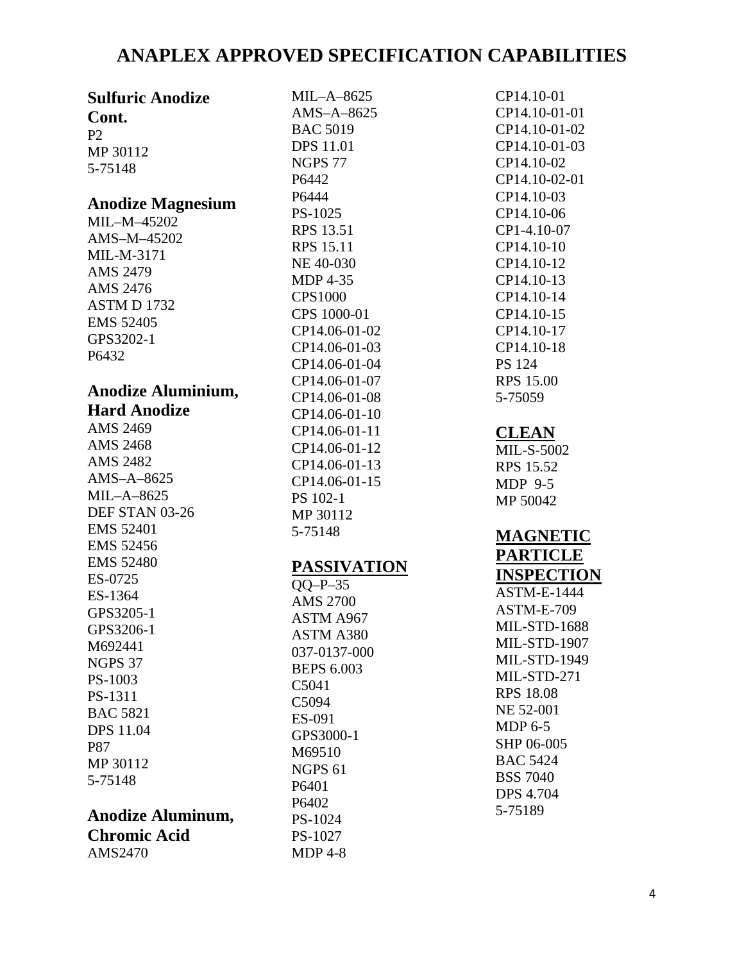| <b>Sulfuric Anodize</b>                 | $MIL-A-8625$       | CP14.10-01          |
|-----------------------------------------|--------------------|---------------------|
| Cont.                                   | $AMS-A-8625$       | CP14.10-01-01       |
| P <sub>2</sub>                          | <b>BAC 5019</b>    | CP14.10-01-02       |
| MP 30112                                | <b>DPS</b> 11.01   | CP14.10-01-03       |
| 5-75148                                 | <b>NGPS 77</b>     | CP14.10-02          |
|                                         | P6442              | CP14.10-02-01       |
|                                         | P6444              | CP14.10-03          |
| <b>Anodize Magnesium</b><br>MIL-M-45202 | PS-1025            | CP14.10-06          |
|                                         | RPS 13.51          | CP1-4.10-07         |
| AMS-M-45202<br>MIL-M-3171               | <b>RPS 15.11</b>   | CP14.10-10          |
|                                         | NE 40-030          | CP14.10-12          |
| AMS 2479                                | <b>MDP 4-35</b>    | CP14.10-13          |
| AMS 2476                                | <b>CPS1000</b>     | CP14.10-14          |
| ASTM D 1732                             | CPS 1000-01        | CP14.10-15          |
| <b>EMS 52405</b>                        | CP14.06-01-02      | CP14.10-17          |
| GPS3202-1                               | CP14.06-01-03      | CP14.10-18          |
| P6432                                   | CP14.06-01-04      | <b>PS</b> 124       |
|                                         | CP14.06-01-07      | <b>RPS 15.00</b>    |
| <b>Anodize Aluminium,</b>               | CP14.06-01-08      | 5-75059             |
| <b>Hard Anodize</b>                     | CP14.06-01-10      |                     |
| AMS 2469                                | CP14.06-01-11      | <b>CLEAN</b>        |
| <b>AMS 2468</b>                         | CP14.06-01-12      | <b>MIL-S-5002</b>   |
| AMS 2482                                | CP14.06-01-13      | RPS 15.52           |
| $AMS-A-8625$                            | CP14.06-01-15      | MDP 9-5             |
| $MIL-A-8625$                            | PS 102-1           | MP 50042            |
| DEF STAN 03-26                          | MP 30112           |                     |
| <b>EMS 52401</b>                        | 5-75148            | <b>MAGNETIC</b>     |
| <b>EMS 52456</b>                        |                    | <b>PARTICLE</b>     |
| <b>EMS 52480</b>                        | <b>PASSIVATION</b> |                     |
| ES-0725                                 | $OO-P-35$          | <b>INSPECTION</b>   |
| ES-1364                                 | <b>AMS 2700</b>    | <b>ASTM-E-1444</b>  |
| GPS3205-1                               | ASTM A967          | ASTM-E-709          |
| GPS3206-1                               | ASTM A380          | <b>MIL-STD-1688</b> |
| M692441                                 | 037-0137-000       | <b>MIL-STD-1907</b> |
| <b>NGPS 37</b>                          | <b>BEPS 6.003</b>  | <b>MIL-STD-1949</b> |
| PS-1003                                 | C5041              | MIL-STD-271         |
| PS-1311                                 | C5094              | <b>RPS 18.08</b>    |
| <b>BAC 5821</b>                         | ES-091             | NE 52-001           |
| <b>DPS</b> 11.04                        | GPS3000-1          | MDP $6-5$           |
| <b>P87</b>                              | M69510             | SHP 06-005          |
| MP 30112                                | <b>NGPS 61</b>     | <b>BAC 5424</b>     |
| 5-75148                                 | P6401              | <b>BSS 7040</b>     |
|                                         | P6402              | <b>DPS 4.704</b>    |
| Anodize Aluminum,                       |                    | 5-75189             |
|                                         | PS-1024            |                     |
| <b>Chromic Acid</b>                     | PS-1027            |                     |
| AMS2470                                 | <b>MDP 4-8</b>     |                     |
|                                         |                    |                     |